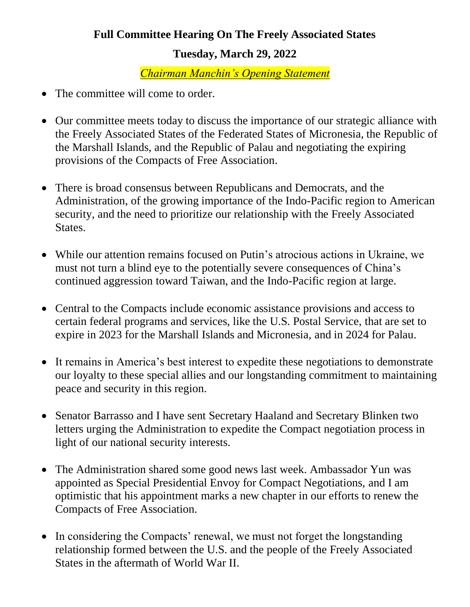## **Full Committee Hearing On The Freely Associated States Tuesday, March 29, 2022**

*Chairman Manchin's Opening Statement*

- The committee will come to order.
- Our committee meets today to discuss the importance of our strategic alliance with the Freely Associated States of the Federated States of Micronesia, the Republic of the Marshall Islands, and the Republic of Palau and negotiating the expiring provisions of the Compacts of Free Association.
- There is broad consensus between Republicans and Democrats, and the Administration, of the growing importance of the Indo-Pacific region to American security, and the need to prioritize our relationship with the Freely Associated States.
- While our attention remains focused on Putin's atrocious actions in Ukraine, we must not turn a blind eye to the potentially severe consequences of China's continued aggression toward Taiwan, and the Indo-Pacific region at large.
- Central to the Compacts include economic assistance provisions and access to certain federal programs and services, like the U.S. Postal Service, that are set to expire in 2023 for the Marshall Islands and Micronesia, and in 2024 for Palau.
- It remains in America's best interest to expedite these negotiations to demonstrate our loyalty to these special allies and our longstanding commitment to maintaining peace and security in this region.
- Senator Barrasso and I have sent Secretary Haaland and Secretary Blinken two letters urging the Administration to expedite the Compact negotiation process in light of our national security interests.
- The Administration shared some good news last week. Ambassador Yun was appointed as Special Presidential Envoy for Compact Negotiations, and I am optimistic that his appointment marks a new chapter in our efforts to renew the Compacts of Free Association.
- In considering the Compacts' renewal, we must not forget the longstanding relationship formed between the U.S. and the people of the Freely Associated States in the aftermath of World War II.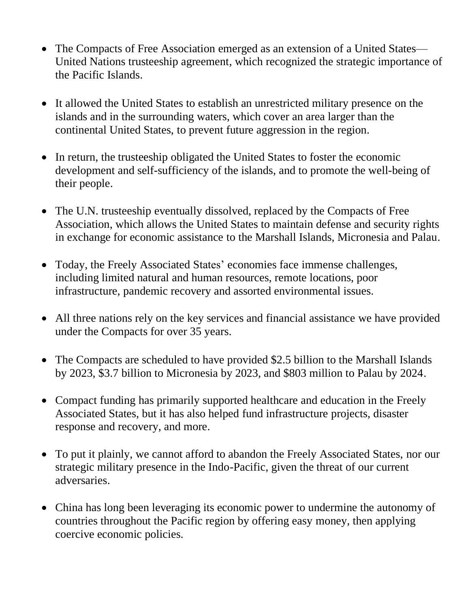- The Compacts of Free Association emerged as an extension of a United States— United Nations trusteeship agreement, which recognized the strategic importance of the Pacific Islands.
- It allowed the United States to establish an unrestricted military presence on the islands and in the surrounding waters, which cover an area larger than the continental United States, to prevent future aggression in the region.
- In return, the trusteeship obligated the United States to foster the economic development and self-sufficiency of the islands, and to promote the well-being of their people.
- The U.N. trusteeship eventually dissolved, replaced by the Compacts of Free Association, which allows the United States to maintain defense and security rights in exchange for economic assistance to the Marshall Islands, Micronesia and Palau.
- Today, the Freely Associated States' economies face immense challenges, including limited natural and human resources, remote locations, poor infrastructure, pandemic recovery and assorted environmental issues.
- All three nations rely on the key services and financial assistance we have provided under the Compacts for over 35 years.
- The Compacts are scheduled to have provided \$2.5 billion to the Marshall Islands by 2023, \$3.7 billion to Micronesia by 2023, and \$803 million to Palau by 2024.
- Compact funding has primarily supported healthcare and education in the Freely Associated States, but it has also helped fund infrastructure projects, disaster response and recovery, and more.
- To put it plainly, we cannot afford to abandon the Freely Associated States, nor our strategic military presence in the Indo-Pacific, given the threat of our current adversaries.
- China has long been leveraging its economic power to undermine the autonomy of countries throughout the Pacific region by offering easy money, then applying coercive economic policies.